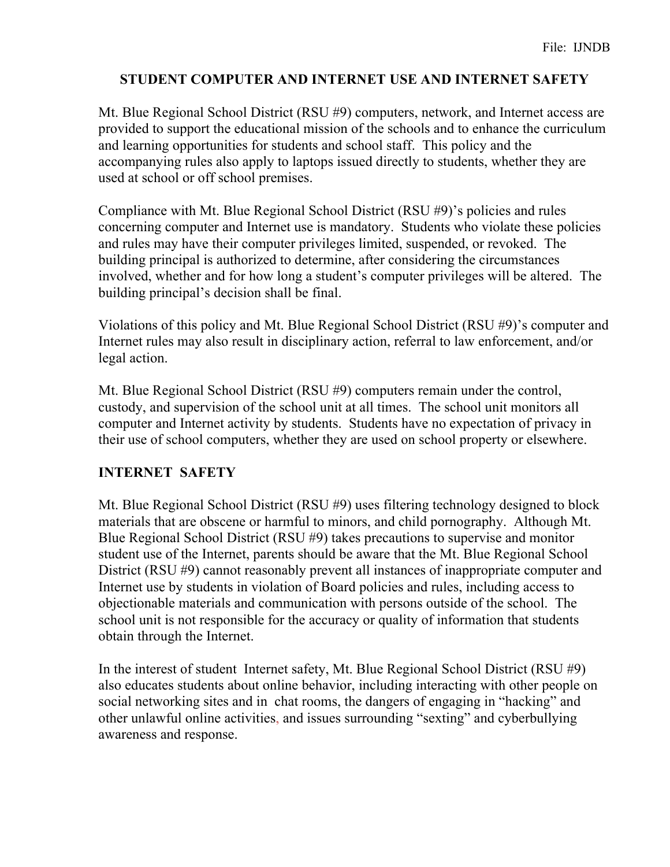## **STUDENT COMPUTER AND INTERNET USE AND INTERNET SAFETY**

Mt. Blue Regional School District (RSU #9) computers, network, and Internet access are provided to support the educational mission of the schools and to enhance the curriculum and learning opportunities for students and school staff. This policy and the accompanying rules also apply to laptops issued directly to students, whether they are used at school or off school premises.

Compliance with Mt. Blue Regional School District (RSU #9)'s policies and rules concerning computer and Internet use is mandatory. Students who violate these policies and rules may have their computer privileges limited, suspended, or revoked. The building principal is authorized to determine, after considering the circumstances involved, whether and for how long a student's computer privileges will be altered. The building principal's decision shall be final.

Violations of this policy and Mt. Blue Regional School District (RSU #9)'s computer and Internet rules may also result in disciplinary action, referral to law enforcement, and/or legal action.

Mt. Blue Regional School District (RSU #9) computers remain under the control, custody, and supervision of the school unit at all times. The school unit monitors all computer and Internet activity by students. Students have no expectation of privacy in their use of school computers, whether they are used on school property or elsewhere.

## **INTERNET SAFETY**

Mt. Blue Regional School District (RSU #9) uses filtering technology designed to block materials that are obscene or harmful to minors, and child pornography. Although Mt. Blue Regional School District (RSU #9) takes precautions to supervise and monitor student use of the Internet, parents should be aware that the Mt. Blue Regional School District (RSU #9) cannot reasonably prevent all instances of inappropriate computer and Internet use by students in violation of Board policies and rules, including access to objectionable materials and communication with persons outside of the school. The school unit is not responsible for the accuracy or quality of information that students obtain through the Internet.

In the interest of student Internet safety, Mt. Blue Regional School District (RSU #9) also educates students about online behavior, including interacting with other people on social networking sites and in chat rooms, the dangers of engaging in "hacking" and other unlawful online activities, and issues surrounding "sexting" and cyberbullying awareness and response.